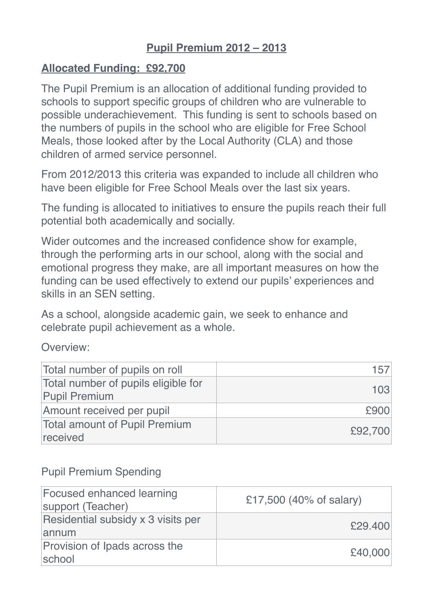# **Pupil Premium 2012 – 2013**

### **Allocated Funding: £92,700**

The Pupil Premium is an allocation of additional funding provided to schools to support specific groups of children who are vulnerable to possible underachievement. This funding is sent to schools based on the numbers of pupils in the school who are eligible for Free School Meals, those looked after by the Local Authority (CLA) and those children of armed service personnel.

From 2012/2013 this criteria was expanded to include all children who have been eligible for Free School Meals over the last six years.

The funding is allocated to initiatives to ensure the pupils reach their full potential both academically and socially.

Wider outcomes and the increased confidence show for example, through the performing arts in our school, along with the social and emotional progress they make, are all important measures on how the funding can be used effectively to extend our pupils' experiences and skills in an SEN setting.

As a school, alongside academic gain, we seek to enhance and celebrate pupil achievement as a whole.

Overview:

| Total number of pupils on roll                              | 157     |
|-------------------------------------------------------------|---------|
| Total number of pupils eligible for<br><b>Pupil Premium</b> | 103     |
| Amount received per pupil                                   | £900    |
| <b>Total amount of Pupil Premium</b><br>received            | £92,700 |

### Pupil Premium Spending

| <b>Focused enhanced learning</b><br>support (Teacher) | £17,500 (40% of salary) |
|-------------------------------------------------------|-------------------------|
| Residential subsidy x 3 visits per<br>annum           | £29,400                 |
| Provision of Ipads across the<br>school               | £40,000                 |